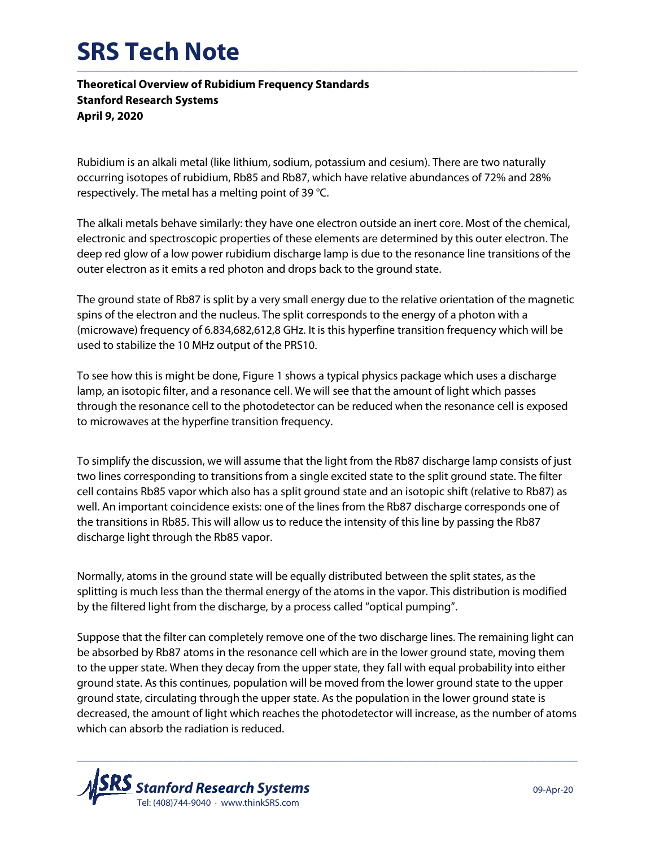## **SRS Tech Note**  $\_$  , and the state of the state of the state of the state of the state of the state of the state of the state of the state of the state of the state of the state of the state of the state of the state of the state of the

**Theoretical Overview of Rubidium Frequency Standards Stanford Research Systems April 9, 2020**

Rubidium is an alkali metal (like lithium, sodium, potassium and cesium). There are two naturally occurring isotopes of rubidium, Rb85 and Rb87, which have relative abundances of 72% and 28% respectively. The metal has a melting point of 39 °C.

The alkali metals behave similarly: they have one electron outside an inert core. Most of the chemical, electronic and spectroscopic properties of these elements are determined by this outer electron. The deep red glow of a low power rubidium discharge lamp is due to the resonance line transitions of the outer electron as it emits a red photon and drops back to the ground state.

The ground state of Rb87 is split by a very small energy due to the relative orientation of the magnetic spins of the electron and the nucleus. The split corresponds to the energy of a photon with a (microwave) frequency of 6.834,682,612,8 GHz. It is this hyperfine transition frequency which will be used to stabilize the 10 MHz output of the PRS10.

To see how this is might be done, Figure 1 shows a typical physics package which uses a discharge lamp, an isotopic filter, and a resonance cell. We will see that the amount of light which passes through the resonance cell to the photodetector can be reduced when the resonance cell is exposed to microwaves at the hyperfine transition frequency.

To simplify the discussion, we will assume that the light from the Rb87 discharge lamp consists of just two lines corresponding to transitions from a single excited state to the split ground state. The filter cell contains Rb85 vapor which also has a split ground state and an isotopic shift (relative to Rb87) as well. An important coincidence exists: one of the lines from the Rb87 discharge corresponds one of the transitions in Rb85. This will allow us to reduce the intensity of this line by passing the Rb87 discharge light through the Rb85 vapor.

Normally, atoms in the ground state will be equally distributed between the split states, as the splitting is much less than the thermal energy of the atoms in the vapor. This distribution is modified by the filtered light from the discharge, by a process called "optical pumping".

Suppose that the filter can completely remove one of the two discharge lines. The remaining light can be absorbed by Rb87 atoms in the resonance cell which are in the lower ground state, moving them to the upper state. When they decay from the upper state, they fall with equal probability into either ground state. As this continues, population will be moved from the lower ground state to the upper ground state, circulating through the upper state. As the population in the lower ground state is decreased, the amount of light which reaches the photodetector will increase, as the number of atoms which can absorb the radiation is reduced.

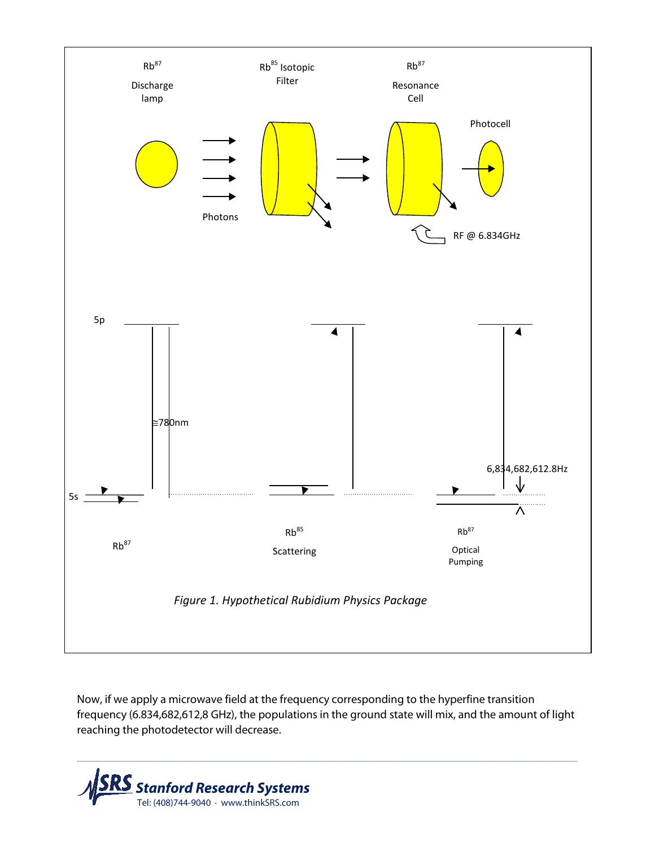

Now, if we apply a microwave field at the frequency corresponding to the hyperfine transition frequency (6.834,682,612,8 GHz), the populations in the ground state will mix, and the amount of light reaching the photodetector will decrease.